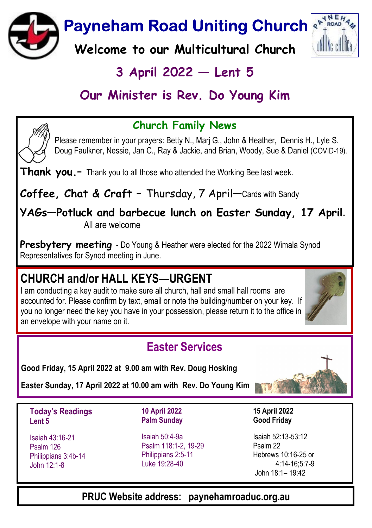Payneham Road Uniting Church

Welcome to our Multicultural Church

# $3$  April 2022  $-$  Lent 5

# Our Minister is Rev. Do Young Kim



Please remember in your prayers: Betty N., Marj G., John & Heather, Dennis H., Lyle S. Doug Faulkner, Nessie, Jan C., Ray & Jackie, and Brian, Woody, Sue & Daniel (COVID-19).

Thank you.- Thank you to all those who attended the Working Bee last week.

Coffee, Chat & Craft - Thursday, 7 April-Cards with Sandy

YAGs-Potluck and barbecue lunch on Easter Sunday, 17 April. All are welcome

**Presbytery meeting** - Do Young & Heather were elected for the 2022 Wimala Synod Representatives for Synod meeting in June.

# CHURCH and/or HALL KEYS—URGENT

I am conducting a key audit to make sure all church, hall and small hall rooms are accounted for. Please confirm by text, email or note the building/number on your key. If you no longer need the key you have in your possession, please return it to the office in an envelope with your name on it.

### Easter Services

Good Friday, 15 April 2022 at 9.00 am with Rev. Doug Hosking

Easter Sunday, 17 April 2022 at 10.00 am with Rev. Do Young Kim

Today's Readings Lent 5

Isaiah 43:16-21 Psalm 126 Philippians 3:4b-14 John 12:1-8

10 April 2022 Palm Sunday

Isaiah 50:4-9a Psalm 118:1-2, 19-29 Philippians 2:5-11 Luke 19:28-40

Isaiah 52:13-53:12 Psalm 22 Hebrews 10:16-25 or

15 April 2022 Good Friday

4:14-16;5:7-9 John 18:1– 19:42

#### PRUC Website address: paynehamroaduc.org.au